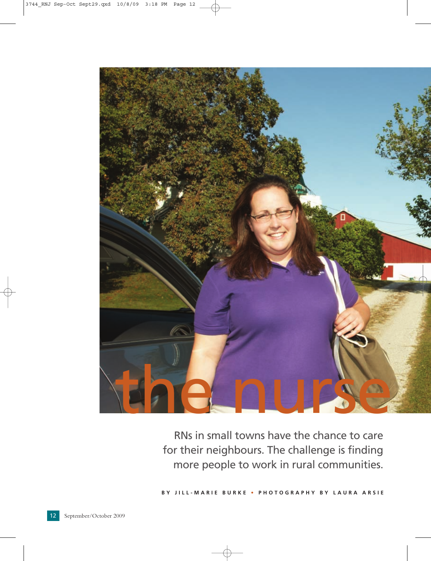

RNs in small towns have the chance to care for their neighbours. The challenge is finding more people to work in rural communities.

**BY JILL-MARIE BURKE • PHOTOGRAPHY BY LAURA ARSIE**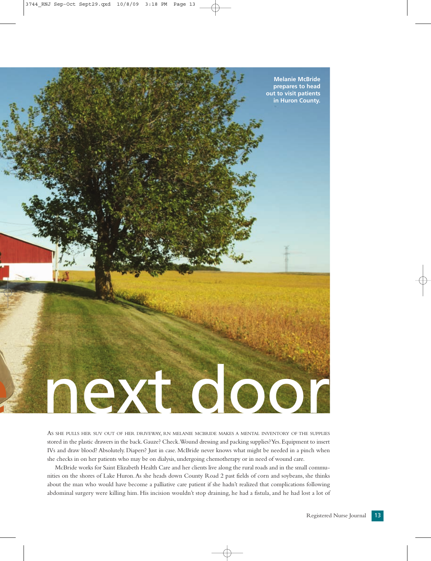

AS SHE PULLS HER SUV OUT OF HER DRIVEWAY, RN MELANIE MCBRIDE MAKES A MENTAL INVENTORY OF THE SUPPLIES stored in the plastic drawers in the back.Gauze? Check.Wound dressing and packing supplies? Yes.Equipment to insert IVs and draw blood? Absolutely. Diapers? Just in case. McBride never knows what might be needed in a pinch when she checks in on her patients who may be on dialysis, undergoing chemotherapy or in need of wound care.

McBride works for Saint Elizabeth Health Care and her clients live along the rural roads and in the small communities on the shores of Lake Huron.As she heads down County Road 2 past fields of corn and soybeans, she thinks about the man who would have become a palliative care patient if she hadn't realized that complications following abdominal surgery were killing him. His incision wouldn't stop draining, he had a fistula, and he had lost a lot of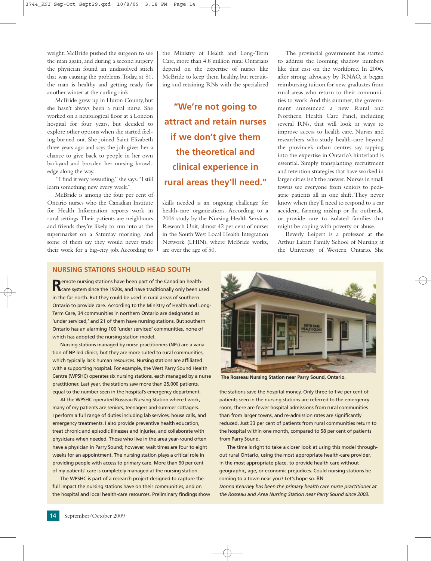weight. McBride pushed the surgeon to see the man again, and during a second surgery the physician found an undissolved stitch that was causing the problems.Today, at 81, the man is healthy and getting ready for another winter at the curling rink.

McBride grew up in Huron County, but she hasn't always been a rural nurse. She worked on a neurological floor at a London hospital for four years, but decided to explore other options when she started feeling burned out. She joined Saint Elizabeth three years ago and says the job gives her a chance to give back to people in her own backyard and broaden her nursing knowledge along the way.

"I find it very rewarding," she says."I still learn something new every week."

McBride is among the four per cent of Ontario nurses who the Canadian Institute for Health Information reports work in rural settings.Their patients are neighbours and friends they're likely to run into at the supermarket on a Saturday morning, and some of them say they would never trade their work for a big-city job. According to

the Ministry of Health and Long-Term Care, more than 4.8 million rural Ontarians depend on the expertise of nurses like McBride to keep them healthy, but recruiting and retaining RNs with the specialized

**"We're not going to attract and retain nurses if we don't give them the theoretical and clinical experience in rural areas they'll need."**

skills needed is an ongoing challenge for health-care organizations. According to a 2006 study by the Nursing Health Services Research Unit, almost 42 per cent of nurses in the South West Local Health Integration Network (LHIN), where McBride works, are over the age of 50.

The provincial government has started to address the looming shadow numbers like that cast on the workforce. In 2006, after strong advocacy by RNAO, it began reimbursing tuition for new graduates from rural areas who return to their communities to work.And this summer, the government announced a new Rural and Northern Health Care Panel, including several RNs, that will look at ways to improve access to health care. Nurses and researchers who study health-care beyond the province's urban centres say tapping into the expertise in Ontario's hinterland is essential. Simply transplanting recruitment and retention strategies that have worked in larger cities isn't the answer. Nurses in small towns see everyone from seniors to pediatric patients all in one shift. They never know when they'll need to respond to a car accident, farming mishap or flu outbreak, or provide care to isolated families that might be coping with poverty or abuse.

Beverly Leipert is a professor at the Arthur Labatt Family School of Nursing at the University of Western Ontario. She

## **NURSING STATIONS SHOULD HEAD SOUTH**

**Remote nursing stations have been part of the Canadian health-<br>Care system since the 1920s, and have traditionally only been used** in the far north. But they could be used in rural areas of southern Ontario to provide care. According to the Ministry of Health and Long-Term Care, 34 communities in northern Ontario are designated as 'under serviced,' and 21 of them have nursing stations. But southern Ontario has an alarming 100 'under serviced' communities, none of which has adopted the nursing station model.

Nursing stations managed by nurse practitioners (NPs) are a variation of NP-led clinics, but they are more suited to rural communities, which typically lack human resources. Nursing stations are affiliated with a supporting hospital. For example, the West Parry Sound Health Centre (WPSHC) operates six nursing stations, each managed by a nurse practitioner. Last year, the stations saw more than 25,000 patients, equal to the number seen in the hospital's emergency department.

At the WPSHC-operated Rosseau Nursing Station where I work, many of my patients are seniors, teenagers and summer cottagers. I perform a full range of duties including lab services, house calls, and emergency treatments. I also provide preventive health education, treat chronic and episodic illnesses and injuries, and collaborate with physicians when needed. Those who live in the area year-round often have a physician in Parry Sound; however, wait times are four to eight weeks for an appointment. The nursing station plays a critical role in providing people with access to primary care. More than 90 per cent of my patients' care is completely managed at the nursing station.

The WPSHC is part of a research project designed to capture the full impact the nursing stations have on their communities, and on the hospital and local health-care resources. Preliminary findings show



**The Rosseau Nursing Station near Parry Sound, Ontario.**

the stations save the hospital money. Only three to five per cent of patients seen in the nursing stations are referred to the emergency room, there are fewer hospital admissions from rural communities than from larger towns, and re-admission rates are significantly reduced. Just 33 per cent of patients from rural communities return to the hospital within one month, compared to 58 per cent of patients from Parry Sound.

The time is right to take a closer look at using this model throughout rural Ontario, using the most appropriate health-care provider, in the most appropriate place, to provide health care without geographic, age, or economic prejudices. Could nursing stations be coming to a town near you? Let's hope so. RN *Donna Kearney has been the primary health care nurse practitioner at the Rosseau and Area Nursing Station near Parry Sound since 2003.*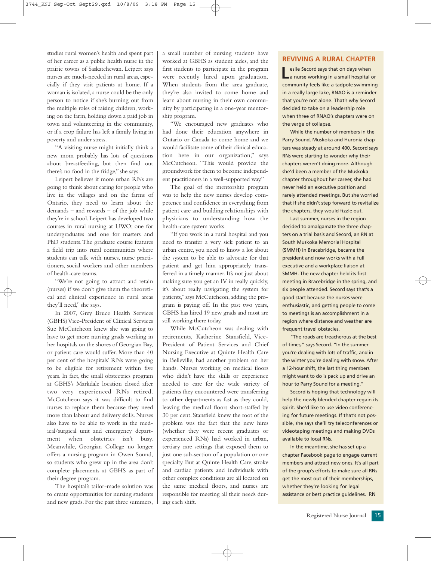studies rural women's health and spent part of her career as a public health nurse in the prairie towns of Saskatchewan. Leipert says nurses are much-needed in rural areas, especially if they visit patients at home. If a woman is isolated, a nurse could be the only person to notice if she's burning out from the multiple roles of raising children, working on the farm, holding down a paid job in town and volunteering in the community, or if a crop failure has left a family living in poverty and under stress.

"A visiting nurse might initially think a new mom probably has lots of questions about breastfeeding, but then find out there's no food in the fridge," she says.

Leipert believes if more urban RNs are going to think about caring for people who live in the villages and on the farms of Ontario, they need to learn about the demands – and rewards – of the job while they're in school. Leipert has developed two courses in rural nursing at UWO; one for undergraduates and one for masters and PhD students.The graduate course features a field trip into rural communities where students can talk with nurses, nurse practitioners, social workers and other members of health-care teams.

"We're not going to attract and retain (nurses) if we don't give them the theoretical and clinical experience in rural areas they'll need," she says.

In 2007, Grey Bruce Health Services (GBHS) Vice-President of Clinical Services Sue McCutcheon knew she was going to have to get more nursing grads working in her hospitals on the shores of Georgian Bay, or patient care would suffer. More than 40 per cent of the hospitals' RNs were going to be eligible for retirement within five years. In fact, the small obstectrics program at GBHS's Markdale location closed after two very experienced RNs retired. McCutcheon says it was difficult to find nurses to replace them because they need more than labour and delivery skills. Nurses also have to be able to work in the medical/surgical unit and emergency department when obstetrics isn't busy. Meanwhile, Georgian College no longer offers a nursing program in Owen Sound, so students who grew up in the area don't complete placements at GBHS as part of their degree program.

The hospital's tailor-made solution was to create opportunities for nursing students and new grads. For the past three summers, a small number of nursing students have worked at GBHS as student aides, and the first students to participate in the program were recently hired upon graduation. When students from the area graduate, they're also invited to come home and learn about nursing in their own community by participating in a one-year mentorship program.

"We encouraged new graduates who had done their education anywhere in Ontario or Canada to come home and we would facilitate some of their clinical education here in our organization," says McCutcheon. "This would provide the groundwork for them to become independent practitioners in a well-supported way."

The goal of the mentorship program was to help the new nurses develop competence and confidence in everything from patient care and building relationships with physicians to understanding how the health-care system works.

"If you work in a rural hospital and you need to transfer a very sick patient to an urban centre, you need to know a lot about the system to be able to advocate for that patient and get him appropriately transferred in a timely manner. It's not just about making sure you get an IV in really quickly, it's about really navigating the system for patients," says McCutcheon, adding the program is paying off. In the past two years, GBHS has hired 19 new grads and most are still working there today.

While McCutcheon was dealing with retirements, Katherine Stansfield, Vice-President of Patient Services and Chief Nursing Executive at Quinte Health Care in Belleville, had another problem on her hands. Nurses working on medical floors who didn't have the skills or experience needed to care for the wide variety of patients they encountered were transferring to other departments as fast as they could, leaving the medical floors short-staffed by 30 per cent. Stansfield knew the root of the problem was the fact that the new hires (whether they were recent graduates or experienced RNs) had worked in urban, tertiary care settings that exposed them to just one sub-section of a population or one specialty. But at Quinte Health Care, stroke and cardiac patients and individuals with other complex conditions are all located on the same medical floors, and nurses are responsible for meeting all their needs during each shift.

## **REVIVING A RURAL CHAPTER**

**Leslie Secord says that on days when**<br> **L**a nurse working in a small hospital or community feels like a tadpole swimming in a really large lake, RNAO is a reminder that you're not alone. That's why Secord decided to take on a leadership role when three of RNAO's chapters were on the verge of collapse.

While the number of members in the Parry Sound, Muskoka and Huronia chapters was steady at around 400, Secord says RNs were starting to wonder why their chapters weren't doing more. Although she'd been a member of the Muskoka chapter throughout her career, she had never held an executive position and rarely attended meetings. But she worried that if she didn't step forward to revitalize the chapters, they would fizzle out.

Last summer, nurses in the region decided to amalgamate the three chapters on a trial basis and Secord, an RN at South Muskoka Memorial Hospital (SMMH) in Bracebridge, became the president and now works with a full executive and a workplace liaison at SMMH. The new chapter held its first meeting in Bracebridge in the spring, and six people attended. Secord says that's a good start because the nurses were enthusiastic, and getting people to come to meetings is an accomplishment in a region where distance and weather are frequent travel obstacles.

"The roads are treacherous at the best of times," says Secord. "In the summer you're dealing with lots of traffic, and in the winter you're dealing with snow. After a 12-hour shift, the last thing members might want to do is pack up and drive an hour to Parry Sound for a meeting."

Secord is hoping that technology will help the newly blended chapter regain its spirit. She'd like to use video conferencing for future meetings. If that's not possible, she says she'll try teleconferences or videotaping meetings and making DVDs available to local RNs.

In the meantime, she has set up a chapter Facebook page to engage current members and attract new ones. It's all part of the group's efforts to make sure all RNs get the most out of their memberships, whether they're looking for legal assistance or best practice guidelines. RN